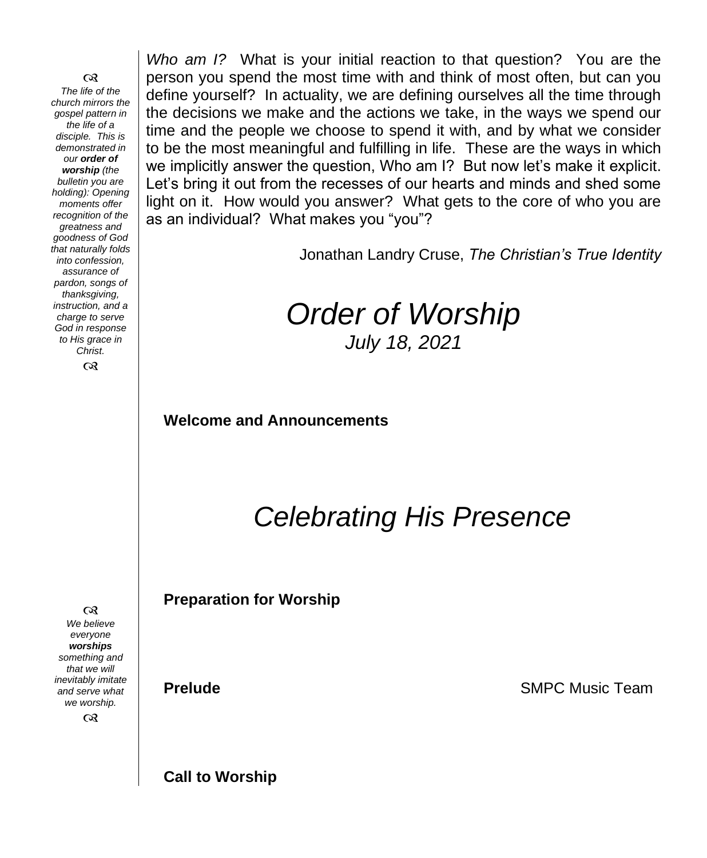෬ *The life of the church mirrors the gospel pattern in the life of a disciple. This is demonstrated in our order of worship (the bulletin you are holding): Opening moments offer recognition of the greatness and goodness of God that naturally folds into confession, assurance of pardon, songs of thanksgiving, instruction, and a charge to serve God in response to His grace in Christ.*

෬

*Who am I?* What is your initial reaction to that question? You are the person you spend the most time with and think of most often, but can you define yourself? In actuality, we are defining ourselves all the time through the decisions we make and the actions we take, in the ways we spend our time and the people we choose to spend it with, and by what we consider to be the most meaningful and fulfilling in life. These are the ways in which we implicitly answer the question, Who am I? But now let's make it explicit. Let's bring it out from the recesses of our hearts and minds and shed some light on it. How would you answer? What gets to the core of who you are as an individual? What makes you "you"?

Jonathan Landry Cruse, *The Christian's True Identity*

## *Order of Worship July 18, 2021*

**Welcome and Announcements** 

*Celebrating His Presence*

**Preparation for Worship**

**Prelude** SMPC Music Team

**Call to Worship**

 $\infty$ *We believe everyone worships something and that we will inevitably imitate and serve what we worship.*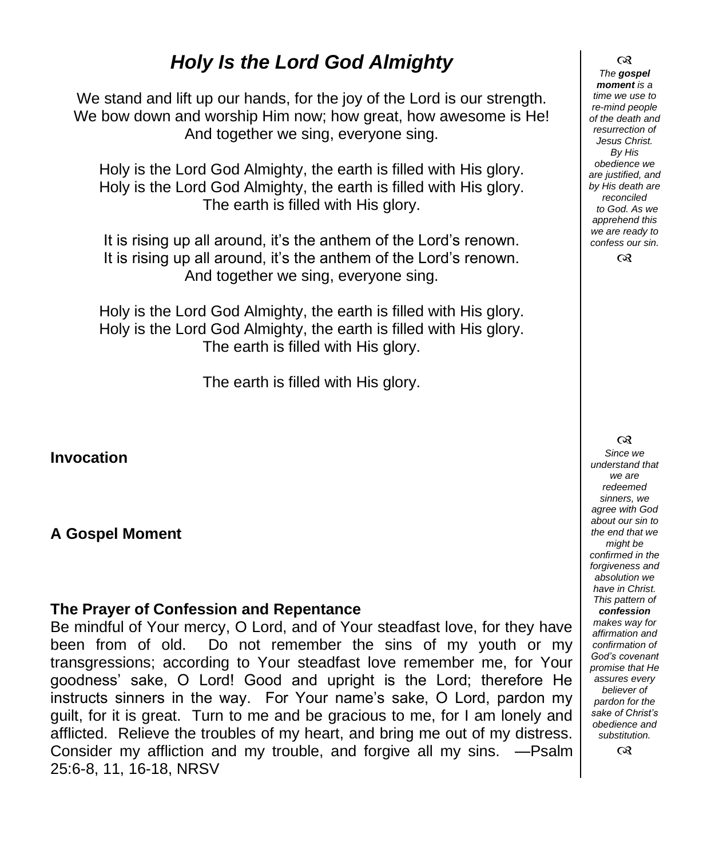## *Holy Is the Lord God Almighty*

We stand and lift up our hands, for the joy of the Lord is our strength. We bow down and worship Him now; how great, how awesome is He! And together we sing, everyone sing.

Holy is the Lord God Almighty, the earth is filled with His glory. Holy is the Lord God Almighty, the earth is filled with His glory. The earth is filled with His glory.

It is rising up all around, it's the anthem of the Lord's renown. It is rising up all around, it's the anthem of the Lord's renown. And together we sing, everyone sing.

Holy is the Lord God Almighty, the earth is filled with His glory. Holy is the Lord God Almighty, the earth is filled with His glory. The earth is filled with His glory.

The earth is filled with His glory.

**Invocation**

#### **A Gospel Moment**

#### **The Prayer of Confession and Repentance**

Be mindful of Your mercy, O Lord, and of Your steadfast love, for they have been from of old. Do not remember the sins of my youth or my transgressions; according to Your steadfast love remember me, for Your goodness' sake, O Lord! Good and upright is the Lord; therefore He instructs sinners in the way. For Your name's sake, O Lord, pardon my guilt, for it is great. Turn to me and be gracious to me, for I am lonely and afflicted. Relieve the troubles of my heart, and bring me out of my distress. Consider my affliction and my trouble, and forgive all my sins. —Psalm 25:6-8, 11, 16-18, NRSV

 $\infty$ *The gospel moment is a time we use to re-mind people of the death and resurrection of Jesus Christ. By His obedience we are justified, and by His death are reconciled to God. As we apprehend this we are ready to confess our sin.*

 $\infty$ 

 $\infty$ 

*Since we understand that we are redeemed sinners, we agree with God about our sin to the end that we might be confirmed in the forgiveness and absolution we have in Christ. This pattern of confession makes way for affirmation and confirmation of God's covenant promise that He assures every believer of* 

*pardon for the sake of Christ's obedience and substitution.*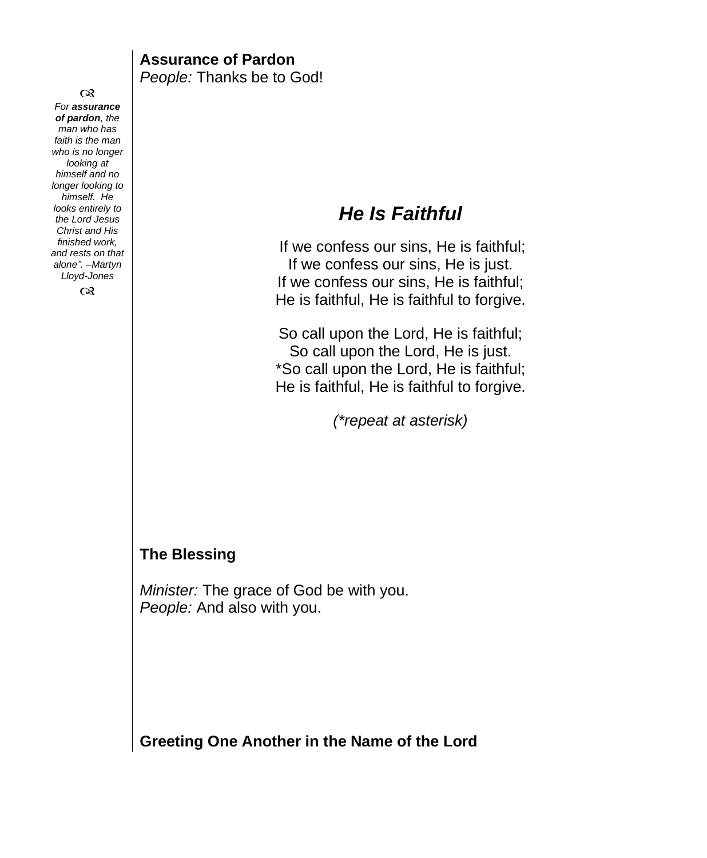$\infty$ *For assurance of pardon, the man who has faith is the man who is no longer looking at himself and no longer looking to himself. He looks entirely to the Lord Jesus Christ and His finished work, and rests on that alone". –Martyn Lloyd-Jones*

 $\infty$ 

#### **Assurance of Pardon** *People:* Thanks be to God!

## *He Is Faithful*

If we confess our sins, He is faithful; If we confess our sins, He is just. If we confess our sins, He is faithful; He is faithful, He is faithful to forgive.

So call upon the Lord, He is faithful; So call upon the Lord, He is just. \*So call upon the Lord, He is faithful; He is faithful, He is faithful to forgive.

*(\*repeat at asterisk)*

#### **The Blessing**

*Minister:* The grace of God be with you. *People:* And also with you.

**Greeting One Another in the Name of the Lord**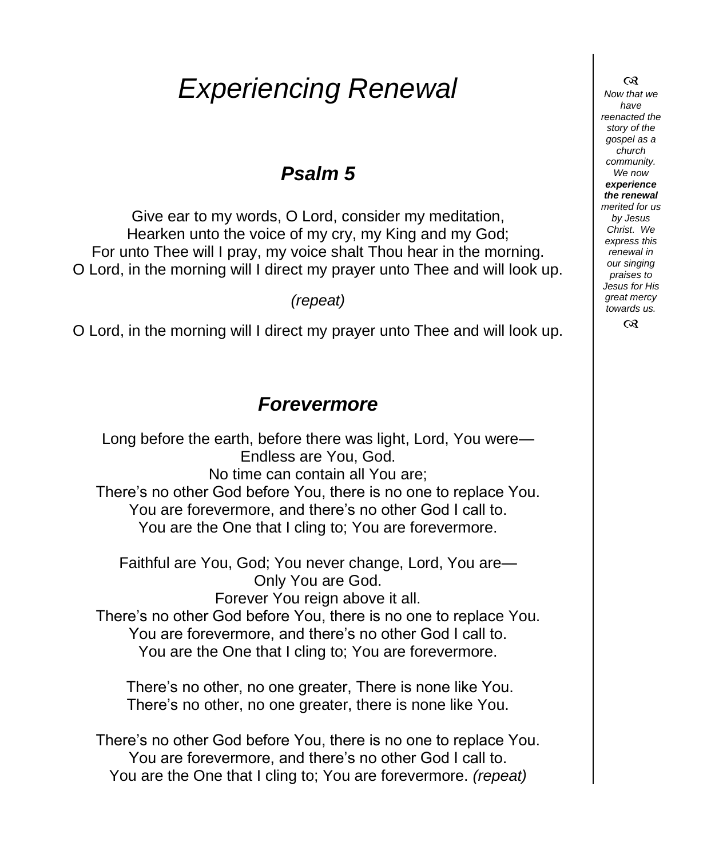# *Experiencing Renewal*

## *Psalm 5*

Give ear to my words, O Lord, consider my meditation, Hearken unto the voice of my cry, my King and my God; For unto Thee will I pray, my voice shalt Thou hear in the morning. O Lord, in the morning will I direct my prayer unto Thee and will look up.

*(repeat)*

O Lord, in the morning will I direct my prayer unto Thee and will look up.

## *Forevermore*

Long before the earth, before there was light, Lord, You were— Endless are You, God. No time can contain all You are; There's no other God before You, there is no one to replace You. You are forevermore, and there's no other God I call to. You are the One that I cling to; You are forevermore.

Faithful are You, God; You never change, Lord, You are— Only You are God. Forever You reign above it all.

There's no other God before You, there is no one to replace You. You are forevermore, and there's no other God I call to. You are the One that I cling to; You are forevermore.

There's no other, no one greater, There is none like You. There's no other, no one greater, there is none like You.

There's no other God before You, there is no one to replace You. You are forevermore, and there's no other God I call to. You are the One that I cling to; You are forevermore. *(repeat)*

*Now that we have reenacted the story of the gospel as a church community. We now experience the renewal merited for us by Jesus Christ. We express this renewal in our singing praises to Jesus for His great mercy towards us.*  $\infty$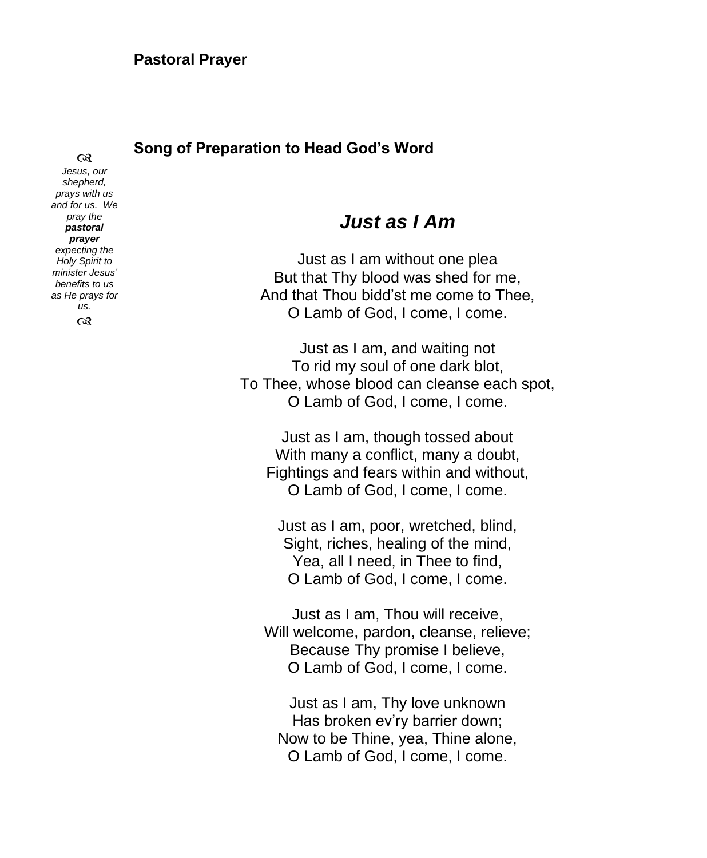#### **Song of Preparation to Head God's Word**

## *Just as I Am*

Just as I am without one plea But that Thy blood was shed for me, And that Thou bidd'st me come to Thee, O Lamb of God, I come, I come.

Just as I am, and waiting not To rid my soul of one dark blot, To Thee, whose blood can cleanse each spot, O Lamb of God, I come, I come.

Just as I am, though tossed about With many a conflict, many a doubt, Fightings and fears within and without, O Lamb of God, I come, I come.

Just as I am, poor, wretched, blind, Sight, riches, healing of the mind, Yea, all I need, in Thee to find, O Lamb of God, I come, I come.

Just as I am, Thou will receive, Will welcome, pardon, cleanse, relieve; Because Thy promise I believe, O Lamb of God, I come, I come.

Just as I am, Thy love unknown Has broken ev'ry barrier down; Now to be Thine, yea, Thine alone, O Lamb of God, I come, I come.

#### $\infty$

*Jesus, our shepherd, prays with us and for us. We pray the pastoral prayer expecting the Holy Spirit to minister Jesus' benefits to us as He prays for us.*  $\infty$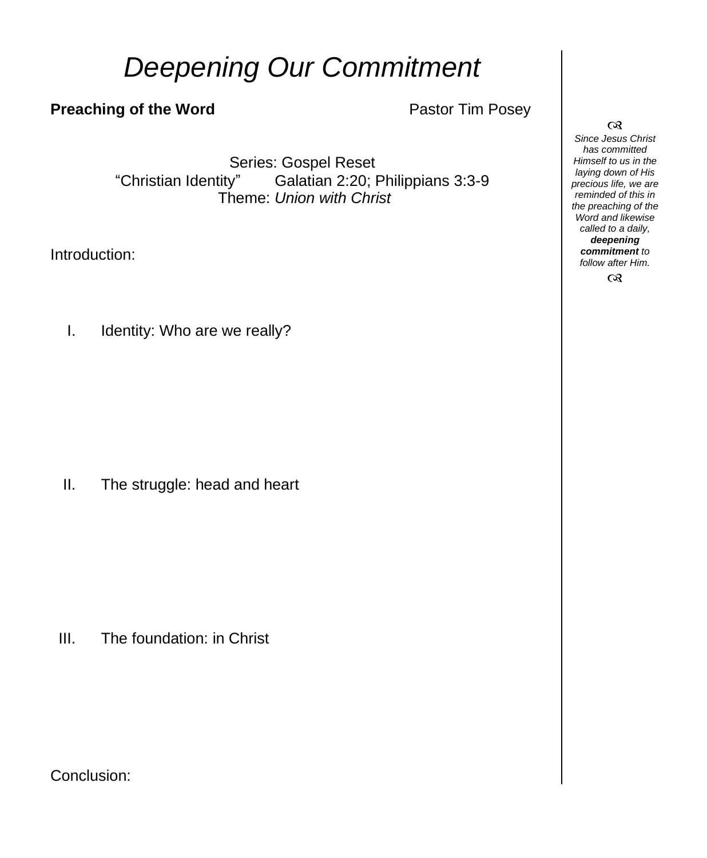# *Deepening Our Commitment*

### **Preaching of the Word Pastor Tim Posey**

Series: Gospel Reset "Christian Identity" Galatian 2:20; Philippians 3:3-9 Theme: *Union with Christ*

Introduction:

I. Identity: Who are we really?

II. The struggle: head and heart

III. The foundation: in Christ

Conclusion:

 $\infty$ *Since Jesus Christ has committed Himself to us in the laying down of His precious life, we are reminded of this in the preaching of the Word and likewise called to a daily, deepening commitment to follow after Him.*